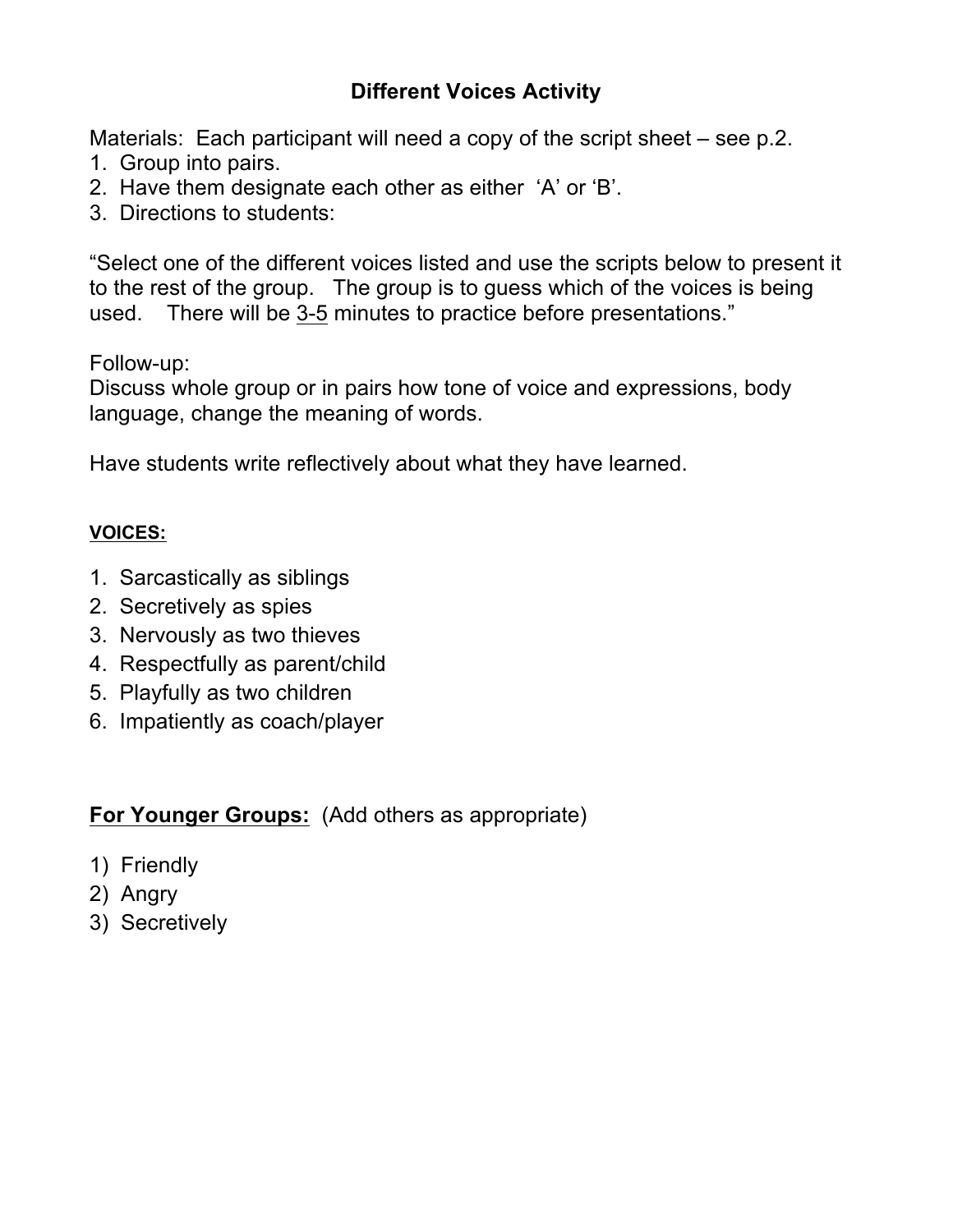# **Different Voices Activity**

Materials: Each participant will need a copy of the script sheet – see p.2.

- 1. Group into pairs.
- 2. Have them designate each other as either 'A' or 'B'.
- 3. Directions to students:

"Select one of the different voices listed and use the scripts below to present it to the rest of the group. The group is to guess which of the voices is being used. There will be 3-5 minutes to practice before presentations."

Follow-up:

Discuss whole group or in pairs how tone of voice and expressions, body language, change the meaning of words.

Have students write reflectively about what they have learned.

### **VOICES:**

- 1. Sarcastically as siblings
- 2. Secretively as spies
- 3. Nervously as two thieves
- 4. Respectfully as parent/child
- 5. Playfully as two children
- 6. Impatiently as coach/player

**For Younger Groups:** (Add others as appropriate)

- 1) Friendly
- 2) Angry
- 3) Secretively